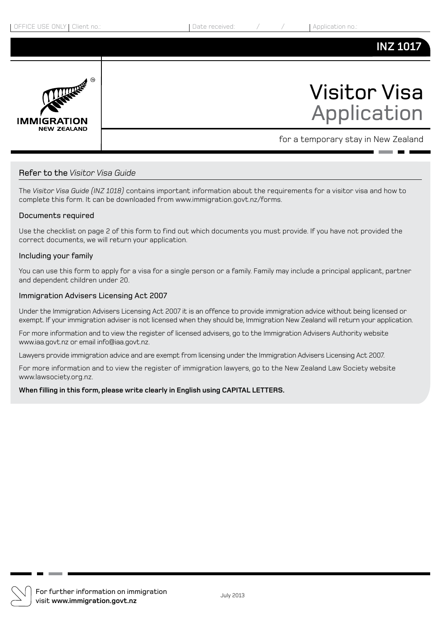



# Visitor Visa Application

for a temporary stay in New Zealand

#### Refer to the *Visitor Visa Guide*

The *Visitor Visa Guide (INZ 1018)* contains important information about the requirements for a visitor visa and how to complete this form. It can be downloaded from www.immigration.govt.nz/forms.

#### Documents required

Use the checklist on page 2 of this form to find out which documents you must provide. If you have not provided the correct documents, we will return your application.

#### Including your family

You can use this form to apply for a visa for a single person or a family. Family may include a principal applicant, partner and dependent children under 20.

#### Immigration Advisers Licensing Act 2007

Under the Immigration Advisers Licensing Act 2007 it is an offence to provide immigration advice without being licensed or exempt. If your immigration adviser is not licensed when they should be, Immigration New Zealand will return your application.

For more information and to view the register of licensed advisers, go to the Immigration Advisers Authority website www.iaa.govt.nz or email info@iaa.govt.nz.

Lawyers provide immigration advice and are exempt from licensing under the Immigration Advisers Licensing Act 2007.

For more information and to view the register of immigration lawyers, go to the New Zealand Law Society website www.lawsociety.org.nz.

#### **When filling in this form, please write clearly in English using CAPITAL LETTERS.**

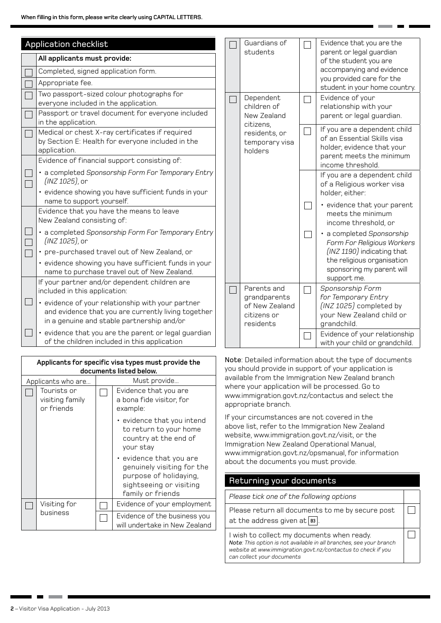| <b>Application checklist</b>                                                                                                                           |  | Guardians of                                               |
|--------------------------------------------------------------------------------------------------------------------------------------------------------|--|------------------------------------------------------------|
| All applicants must provide:                                                                                                                           |  | students                                                   |
| Completed, signed application form.                                                                                                                    |  |                                                            |
| Appropriate fee.                                                                                                                                       |  |                                                            |
| Two passport-sized colour photographs for<br>everyone included in the application.                                                                     |  | Dependent<br>children of                                   |
| Passport or travel document for everyone included<br>in the application.                                                                               |  | New Zealand<br>citizens,                                   |
| Medical or chest X-ray certificates if required<br>by Section E: Health for everyone included in the<br>application.                                   |  | residents, or<br>temporary visa<br>holders                 |
| Evidence of financial support consisting of:                                                                                                           |  |                                                            |
| · a completed Sponsorship Form For Temporary Entry<br>(INZ 1025), or                                                                                   |  |                                                            |
| · evidence showing you have sufficient funds in your<br>name to support yourself.                                                                      |  |                                                            |
| Evidence that you have the means to leave<br>New Zealand consisting of:                                                                                |  |                                                            |
| · a completed Sponsorship Form For Temporary Entry<br>(INZ 1025), or                                                                                   |  |                                                            |
| • pre-purchased travel out of New Zealand, or                                                                                                          |  |                                                            |
| · evidence showing you have sufficient funds in your<br>name to purchase travel out of New Zealand.                                                    |  |                                                            |
| If your partner and/or dependent children are<br>included in this application:                                                                         |  | Parents and                                                |
| • evidence of your relationship with your partner<br>and evidence that you are currently living together<br>in a genuine and stable partnership and/or |  | grandparents<br>of New Zealand<br>citizens or<br>residents |
| · evidence that you are the parent or legal guardian<br>of the children included in this application                                                   |  |                                                            |

Evidence that you are a bona fide visitor, for

• evidence that you intend to return to your home country at the end of

evidence that you are genuinely visiting for the purpose of holidaying, sightseeing or visiting family or friends

Evidence of your employment Evidence of the business you will undertake in New Zealand

**Applicants for specific visa types must provide the documents listed below.**

example:

your stay

Applicants who are... Must provide...

 $\Box$ 

 $\Box$ 

 $\Box$ 

Tourists or visiting family or friends

 $\Box$ 

 $\Box$ 

Visiting for business

Note: Detailed information about the type of documents you should provide in support of your application is available from the Immigration New Zealand branch where your application will be processed. Go to www.immigration.govt.nz/contactus and select the appropriate branch.

Evidence that you are the parent or legal guardian of the student you are accompanying and evidence you provided care for the student in your home country.

Evidence of your relationship with your parent or legal guardian. If you are a dependent child of an Essential Skills visa holder, evidence that your parent meets the minimum

income threshold.

holder, either:

 $\Box$ 

 $\Box$ 

 $\Box$ 

П

support me.

grandchild.

*Sponsorship Form for Temporary Entry (INZ 1025)* completed by your New Zealand child or

Evidence of your relationship with your child or grandchild.

 $\Box$ 

 $\Box$ 

If you are a dependent child of a Religious worker visa

• evidence that your parent meets the minimum income threshold, or • a completed *Sponsorship Form For Religious Workers (INZ 1190)* indicating that the religious organisation sponsoring my parent will

If your circumstances are not covered in the above list, refer to the Immigration New Zealand website, www.immigration.govt.nz/visit, or the Immigration New Zealand Operational Manual, www.immigration.govt.nz/opsmanual, for information about the documents you must provide.

## Returning your documents

*Please tick one of the following options* Please return all documents to me by secure post at the address given at  $|\mathbf{B3}|$ .

I wish to collect my documents when ready. *Note: This option is not available in all branches, see your branch website at www.immigration.govt.nz/contactus to check if you can collect your documents*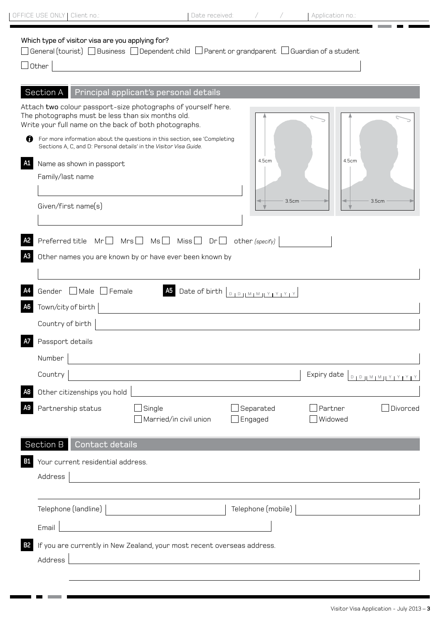× ÷.  $\blacksquare$ 

## Which type of visitor visa are you applying for?

|              | $\Box$ General (tourist) $\Box$ Business $\Box$ Dependent child $\Box$ Parent or grandparent $\Box$ Guardian of a student |  |  |
|--------------|---------------------------------------------------------------------------------------------------------------------------|--|--|
| $\Box$ Other |                                                                                                                           |  |  |

|           | Section A<br>Principal applicant's personal details                                                                                                                         |                                            |          |
|-----------|-----------------------------------------------------------------------------------------------------------------------------------------------------------------------------|--------------------------------------------|----------|
|           | Attach two colour passport-size photographs of yourself here.<br>The photographs must be less than six months old.<br>Write your full name on the back of both photographs. |                                            |          |
| Ø         | For more information about the questions in this section, see 'Completing<br>Sections A, C, and D: Personal details' in the Visitor Visa Guide.                             |                                            |          |
| A1        | Name as shown in passport<br>Family/last name                                                                                                                               | 4.5cm<br>4.5cm                             |          |
|           | Given/first name(s)                                                                                                                                                         | 3.5cm<br>3.5cm                             |          |
|           | Preferred title $Mr\Box$ Mrs $\Box$ Ms $\Box$ Miss $\Box$<br>$Dr$ $\Box$                                                                                                    | other (specify)                            |          |
|           | Other names you are known by or have ever been known by                                                                                                                     |                                            |          |
|           | Gender   Male   Female<br>A5 Date of birth <u>Didimimity typy</u>                                                                                                           |                                            |          |
|           | Town/city of birth                                                                                                                                                          |                                            |          |
|           | Country of birth                                                                                                                                                            |                                            |          |
|           | Passport details                                                                                                                                                            |                                            |          |
|           | Number                                                                                                                                                                      |                                            |          |
|           | Country                                                                                                                                                                     | Expiry date <b>DIDIMIMIYIYIY</b> YIY       |          |
|           | Other citizenships you hold                                                                                                                                                 |                                            |          |
|           | Partnership status<br>Single<br>Married/in civil union                                                                                                                      | Separated<br>Partner<br>Engaged<br>Widowed | Divorced |
|           | Section B   Contact details                                                                                                                                                 |                                            |          |
| В1        | Your current residential address.                                                                                                                                           |                                            |          |
|           | Address                                                                                                                                                                     |                                            |          |
|           |                                                                                                                                                                             |                                            |          |
|           |                                                                                                                                                                             | Telephone (mobile)                         |          |
|           | <u> 1980 - Johann Barn, marwolaethau a bhann an t-Amhain Aonaich an t-Amhain Aonaich an t-Amhain Aonaich an t-Amh</u><br>Email                                              |                                            |          |
| <b>B2</b> | If you are currently in New Zealand, your most recent overseas address.                                                                                                     |                                            |          |
|           | Address                                                                                                                                                                     |                                            |          |
|           |                                                                                                                                                                             |                                            |          |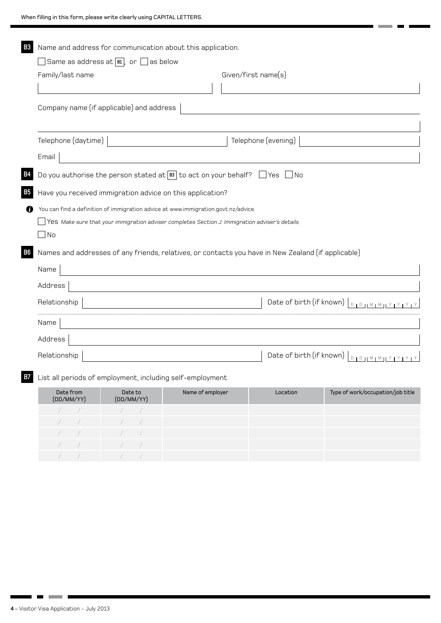| B3        | Name and address for communication about this application.                                                    |                                                             |  |
|-----------|---------------------------------------------------------------------------------------------------------------|-------------------------------------------------------------|--|
|           | $ $ Same as address at $ {\scriptstyle{\mathsf{B1}}} \rangle$ or $\Box$ as below                              |                                                             |  |
|           | Family/last name                                                                                              | Given/first name(s)                                         |  |
|           |                                                                                                               |                                                             |  |
|           | Company name (if applicable) and address                                                                      |                                                             |  |
|           | Telephone (daytime)                                                                                           | Telephone (evening)                                         |  |
|           | Email                                                                                                         |                                                             |  |
| <b>B4</b> | Do you authorise the person stated at $\boxed{\phantom{1}B}$ to act on your behalf? $\boxed{\phantom{1}}$ Yes | $\Box$ No                                                   |  |
| <b>B5</b> | Have you received immigration advice on this application?                                                     |                                                             |  |
| G.        | You can find a definition of immigration advice at www.immigration.govt.nz/advice.                            |                                                             |  |
|           | Yes Make sure that your immigration adviser completes Section J: Immigration adviser's details.               |                                                             |  |
|           | $\blacksquare$ No                                                                                             |                                                             |  |
| <b>B6</b> | Names and addresses of any friends, relatives, or contacts you have in New Zealand (if applicable)            |                                                             |  |
|           | Name                                                                                                          |                                                             |  |
|           | Address                                                                                                       |                                                             |  |
|           | Relationship                                                                                                  | Date of birth (if known)<br>$D + D + M + M + Y + Y + Y + Y$ |  |
|           | Name                                                                                                          |                                                             |  |
|           | Address                                                                                                       |                                                             |  |
|           | Relationship                                                                                                  | Date of birth (if known)<br>$D + D + M + M + Y + Y +$       |  |
|           | all espinals of special meant, in aluding solf, special meant                                                 |                                                             |  |

**B7** List all periods of employment, including self-employment

| Date from<br>(DD/MM/YY) | Date to<br>(DD/MM/YY) | Name of employer | Location | Type of work/occupation/job title |
|-------------------------|-----------------------|------------------|----------|-----------------------------------|
|                         |                       |                  |          |                                   |
|                         |                       |                  |          |                                   |
|                         |                       |                  |          |                                   |
|                         |                       |                  |          |                                   |
|                         |                       |                  |          |                                   |

. . . . .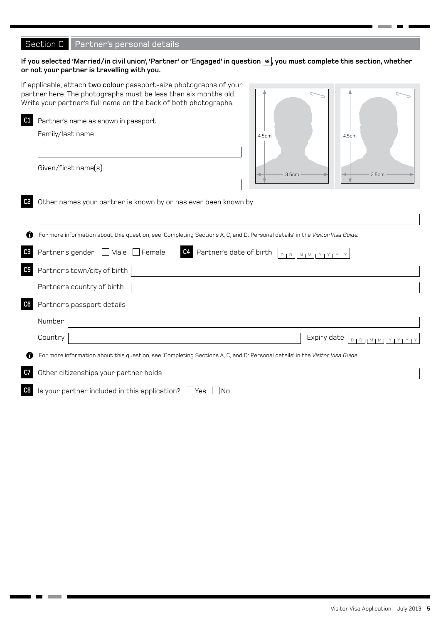## Section C Partner's personal details

## If you selected 'Married/in civil union', 'Partner' or 'Engaged' in question **A9** , you must complete this section, whether **or not your partner is travelling with you.**

|                | If applicable, attach two colour passport-size photographs of your<br>partner here. The photographs must be less than six months old. |                                 |                                 |
|----------------|---------------------------------------------------------------------------------------------------------------------------------------|---------------------------------|---------------------------------|
|                | Write your partner's full name on the back of both photographs.                                                                       |                                 |                                 |
| C1             | Partner's name as shown in passport                                                                                                   |                                 |                                 |
|                | Family/last name                                                                                                                      | 4.5cm                           | 4.5cm                           |
|                | Given/first name(s)                                                                                                                   | 3.5cm                           | 3.5cm                           |
| C <sub>2</sub> | Other names your partner is known by or has ever been known by                                                                        |                                 |                                 |
|                | For more information about this question, see 'Completing Sections A, C, and D: Personal details' in the Visitor Visa Guide.          |                                 |                                 |
| C3             | C4 Partner's date of birth<br>Partner's gender Male Female                                                                            | $D + D + M + M + Y + Y + Y + Y$ |                                 |
| C <sub>5</sub> | Partner's town/city of birth                                                                                                          |                                 |                                 |
|                | Partner's country of birth                                                                                                            |                                 |                                 |
| C <sub>6</sub> | Partner's passport details                                                                                                            |                                 |                                 |
|                | Number                                                                                                                                |                                 |                                 |
|                | Country                                                                                                                               | Expiry date                     | $D + D + M + M + M + Y + Y + Y$ |
|                | For more information about this question, see 'Completing Sections A, C, and D: Personal details' in the Visitor Visa Guide.          |                                 |                                 |
| C7             | Other citizenships your partner holds                                                                                                 |                                 |                                 |
| C8             | Is your partner included in this application? $\Box$ Yes $\Box$ No                                                                    |                                 |                                 |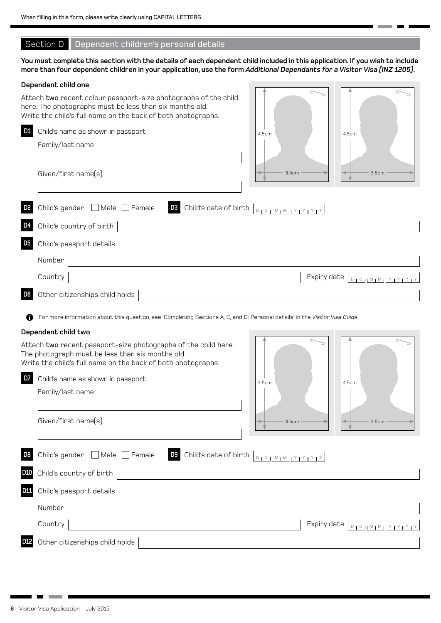## Section D Dependent children's personal details

**You must complete this section with the details of each dependent child included in this application. If you wish to include more than four dependent children in your application, use the form** *Additional Dependants for a Visitor Visa (INZ 1205)***.**

#### **Dependent child one**

| Pehenaens china one<br>Attach two recent colour passport-size photographs of the child<br>here. The photographs must be less than six months old.<br>Write the child's full name on the back of both photographs.                                                              |                                                      |  |
|--------------------------------------------------------------------------------------------------------------------------------------------------------------------------------------------------------------------------------------------------------------------------------|------------------------------------------------------|--|
| D <sub>1</sub><br>Child's name as shown in passport                                                                                                                                                                                                                            | 4.5cm<br>4.5cm                                       |  |
| Family/last name                                                                                                                                                                                                                                                               |                                                      |  |
| Given/first name(s)                                                                                                                                                                                                                                                            | 3.5cm<br>3.5cm                                       |  |
| D <sub>2</sub><br>Child's gender $\Box$ Male $\Box$ Female                                                                                                                                                                                                                     | D3 Child's date of birth DIDIMIMIYIYIYIY             |  |
| Child's country of birth<br>D <sub>4</sub>                                                                                                                                                                                                                                     |                                                      |  |
| D <sub>5</sub><br>Child's passport details                                                                                                                                                                                                                                     |                                                      |  |
| Number                                                                                                                                                                                                                                                                         |                                                      |  |
| Country                                                                                                                                                                                                                                                                        | Expiry date<br>$D + D + M + M + Y + Y + Y + Y$       |  |
| D <sub>6</sub><br>Other citizenships child holds                                                                                                                                                                                                                               |                                                      |  |
| For more information about this question, see 'Completing Sections A, C, and D: Personal details' in the Visitor Visa Guide.<br>ø<br>Dependent child two<br>Attach two recent passport-size photographs of the child here.<br>The photograph must be less than six months old. |                                                      |  |
| Write the child's full name on the back of both photographs.                                                                                                                                                                                                                   |                                                      |  |
| D7<br>Child's name as shown in passport<br>Family/last name                                                                                                                                                                                                                    | 4.5cm<br>4.5cm                                       |  |
| Given/first name(s)                                                                                                                                                                                                                                                            | 3.5cm<br>3.5cm                                       |  |
| Child's gender<br>□ Male □ Female<br>D <sub>8</sub>                                                                                                                                                                                                                            | De Child's date of birth $\boxed{\text{minmax}$      |  |
| Child's country of birth<br>D <sub>10</sub>                                                                                                                                                                                                                                    |                                                      |  |
| <b>D11</b><br>Child's passport details                                                                                                                                                                                                                                         |                                                      |  |
| Number                                                                                                                                                                                                                                                                         |                                                      |  |
| Country                                                                                                                                                                                                                                                                        | Expiry date<br>$D_1 D_1   M_1 M_1   Y_1 Y_1 Y_1 Y_1$ |  |
| Other citizenships child holds<br>D <sub>12</sub>                                                                                                                                                                                                                              |                                                      |  |
|                                                                                                                                                                                                                                                                                |                                                      |  |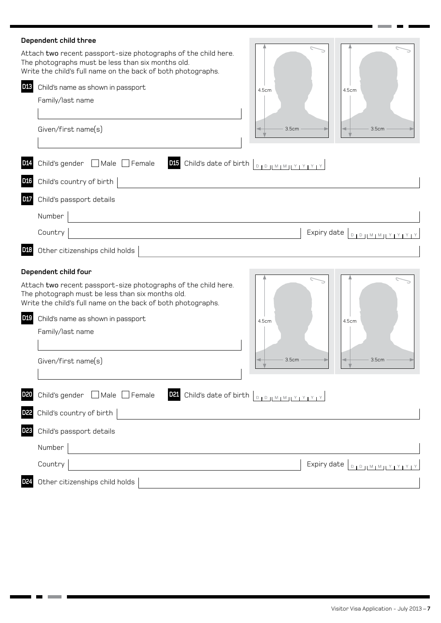| Dependent child three                                                                                                                                                               |                                                                                                                                                                                        |
|-------------------------------------------------------------------------------------------------------------------------------------------------------------------------------------|----------------------------------------------------------------------------------------------------------------------------------------------------------------------------------------|
| Attach two recent passport-size photographs of the child here.<br>The photographs must be less than six months old.<br>Write the child's full name on the back of both photographs. |                                                                                                                                                                                        |
| D <sub>13</sub><br>Child's name as shown in passport                                                                                                                                | 4.5cm<br>4.5cm                                                                                                                                                                         |
| Family/last name                                                                                                                                                                    |                                                                                                                                                                                        |
| Given/first name(s)                                                                                                                                                                 | 3.5cm<br>3.5cm                                                                                                                                                                         |
| Child's gender Male Female<br>D <sub>14</sub>                                                                                                                                       | <b>D15</b> Child's date of birth $\left[\begin{array}{c} 0 & 0 \end{array}\right]$ $\left[\begin{array}{c} 0 & 0 \end{array}\right]$ $\left[\begin{array}{c} 0 & 0 \end{array}\right]$ |
| Child's country of birth<br>D <sub>16</sub>                                                                                                                                         |                                                                                                                                                                                        |
| D <sub>17</sub><br>Child's passport details                                                                                                                                         |                                                                                                                                                                                        |
| Number                                                                                                                                                                              |                                                                                                                                                                                        |
| Country                                                                                                                                                                             | Expiry date DOUMMIYIYIYIY                                                                                                                                                              |
| Other citizenships child holds<br>D <sub>18</sub>                                                                                                                                   |                                                                                                                                                                                        |
| Dependent child four                                                                                                                                                                |                                                                                                                                                                                        |
| Attach two recent passport-size photographs of the child here.<br>The photograph must be less than six months old.<br>Write the child's full name on the back of both photographs.  |                                                                                                                                                                                        |
|                                                                                                                                                                                     |                                                                                                                                                                                        |
| D <sub>19</sub><br>Child's name as shown in passport                                                                                                                                | 4.5cm<br>4.5cm                                                                                                                                                                         |
| Family/last name                                                                                                                                                                    |                                                                                                                                                                                        |
|                                                                                                                                                                                     |                                                                                                                                                                                        |
| Given/first name(s)                                                                                                                                                                 | 3.5cm<br>3.5cm                                                                                                                                                                         |
|                                                                                                                                                                                     |                                                                                                                                                                                        |
| Child's gender ■ Male<br>D <sub>20</sub><br>$\Box$ Female                                                                                                                           | D21 Child's date of birth $\boxed{\text{minmax}$                                                                                                                                       |
| Child's country of birth<br>D22                                                                                                                                                     |                                                                                                                                                                                        |
| Child's passport details<br>D <sub>23</sub>                                                                                                                                         |                                                                                                                                                                                        |
| Number                                                                                                                                                                              |                                                                                                                                                                                        |
| Country                                                                                                                                                                             | Expiry date                                                                                                                                                                            |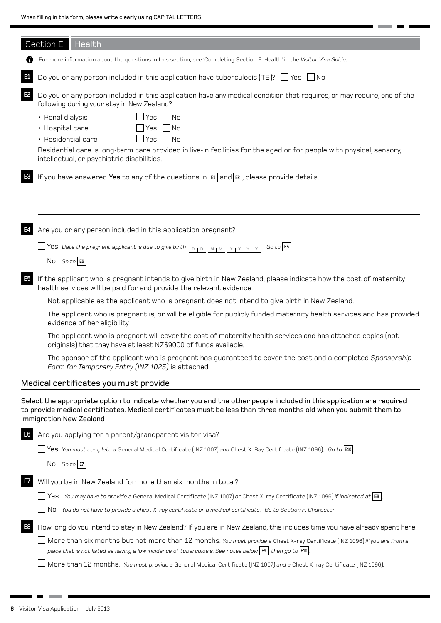|                | Section E<br>Health                                                                                                                                                                                                                                                                                       |
|----------------|-----------------------------------------------------------------------------------------------------------------------------------------------------------------------------------------------------------------------------------------------------------------------------------------------------------|
|                | For more information about the questions in this section, see 'Completing Section E: Health' in the Visitor Visa Guide.                                                                                                                                                                                   |
| E1             | Do you or any person included in this application have tuberculosis $(TB)$ ? $\Box$ Yes $\Box$ No                                                                                                                                                                                                         |
| E <sub>2</sub> | Do you or any person included in this application have any medical condition that requires, or may require, one of the<br>following during your stay in New Zealand?                                                                                                                                      |
|                | $\Box$ Yes $\Box$<br>$\Box$ No<br>• Renal dialysis<br>• Hospital care<br>No   <br>Yes<br>$\Box$ Yes $\Box$ No<br>• Residential care<br>Residential care is long-term care provided in live-in facilities for the aged or for people with physical, sensory,<br>intellectual, or psychiatric disabilities. |
| E <sub>3</sub> | If you have answered Yes to any of the questions in $\mathbb{E}$ and $\mathbb{E}$ , please provide details.                                                                                                                                                                                               |
| E4             | Are you or any person included in this application pregnant?                                                                                                                                                                                                                                              |
|                | $Go to \nvert \mathbf{E5}$<br>$\sqrt{\ }$ Yes Date the pregnant applicant is due to give birth $\sqrt{\ }$<br>$D + D + M + M + Y + Y + Y + Y$                                                                                                                                                             |
|                | $\bigcup$ No Goto E6                                                                                                                                                                                                                                                                                      |
| E <sub>5</sub> | If the applicant who is pregnant intends to give birth in New Zealand, please indicate how the cost of maternity<br>health services will be paid for and provide the relevant evidence.                                                                                                                   |
|                | Not applicable as the applicant who is pregnant does not intend to give birth in New Zealand.                                                                                                                                                                                                             |
|                | The applicant who is pregnant is, or will be eligible for publicly funded maternity health services and has provided<br>evidence of her eligibility.                                                                                                                                                      |
|                | The applicant who is pregnant will cover the cost of maternity health services and has attached copies (not<br>originals) that they have at least NZ\$9000 of funds available.                                                                                                                            |
|                | The sponsor of the applicant who is pregnant has guaranteed to cover the cost and a completed Sponsorship<br>Form for Temporary Entry (INZ 1025) is attached.                                                                                                                                             |
|                | Medical certificates you must provide                                                                                                                                                                                                                                                                     |
|                | Select the appropriate option to indicate whether you and the other people included in this application are required<br>to provide medical certificates. Medical certificates must be less than three months old when you submit them to<br><b>Immigration New Zealand</b>                                |
| E <sub>6</sub> | Are you applying for a parent/grandparent visitor visa?                                                                                                                                                                                                                                                   |
|                | Yes You must complete a General Medical Certificate (INZ 1007) and Chest X-Ray Certificate (INZ 1096). Go to $E0$                                                                                                                                                                                         |
|                | $\Box$ No Goto E7                                                                                                                                                                                                                                                                                         |
| E7             | Will you be in New Zealand for more than six months in total?                                                                                                                                                                                                                                             |
|                | Yes You may have to provide a General Medical Certificate (INZ 1007) or Chest X-ray Certificate (INZ 1096) if indicated at $ \mathbf{B} $ .                                                                                                                                                               |
|                | No You do not have to provide a chest X-ray certificate or a medical certificate. Go to Section F: Character                                                                                                                                                                                              |
| E8             | How long do you intend to stay in New Zealand? If you are in New Zealand, this includes time you have already spent here.                                                                                                                                                                                 |
|                | More than six months but not more than 12 months. You must provide a Chest X-ray Certificate (INZ 1096) if you are from a<br>place that is not listed as having a low incidence of tuberculosis. See notes below $\ket{e}$ then go to $\ket{e}$                                                           |
|                | More than 12 months. You must provide a General Medical Certificate (INZ 1007) and a Chest X-ray Certificate (INZ 1096).                                                                                                                                                                                  |

× i. ۰

. . . .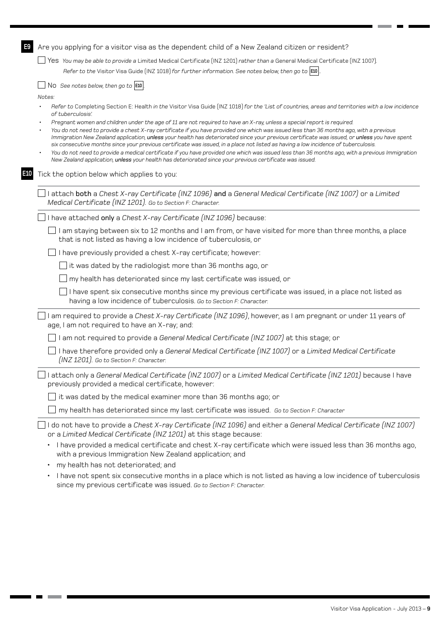| E9  |           | Are you applying for a visitor visa as the dependent child of a New Zealand citizen or resident?                                                                                                                                                                                                                                                                                                                                                                                                                                                                                                                                                                                                                                                                                                                          |
|-----|-----------|---------------------------------------------------------------------------------------------------------------------------------------------------------------------------------------------------------------------------------------------------------------------------------------------------------------------------------------------------------------------------------------------------------------------------------------------------------------------------------------------------------------------------------------------------------------------------------------------------------------------------------------------------------------------------------------------------------------------------------------------------------------------------------------------------------------------------|
|     |           | Yes You may be able to provide a Limited Medical Certificate (INZ 1201) rather than a General Medical Certificate (INZ 1007).                                                                                                                                                                                                                                                                                                                                                                                                                                                                                                                                                                                                                                                                                             |
|     |           | Refer to the Visitor Visa Guide (INZ 1018) for further information. See notes below, then go to [810].                                                                                                                                                                                                                                                                                                                                                                                                                                                                                                                                                                                                                                                                                                                    |
|     |           | No See notes below, then go to $ E10 $                                                                                                                                                                                                                                                                                                                                                                                                                                                                                                                                                                                                                                                                                                                                                                                    |
|     | Notes:    |                                                                                                                                                                                                                                                                                                                                                                                                                                                                                                                                                                                                                                                                                                                                                                                                                           |
|     |           | Refer to Completing Section E: Health in the Visitor Visa Guide (INZ 1018) for the 'List of countries, areas and territories with a low incidence<br>of tuberculosis'.                                                                                                                                                                                                                                                                                                                                                                                                                                                                                                                                                                                                                                                    |
|     |           | Pregnant women and children under the age of 11 are not required to have an X-ray, unless a special report is required.<br>You do not need to provide a chest X-ray certificate if you have provided one which was issued less than 36 months ago, with a previous<br>Immigration New Zealand application, unless your health has deteriorated since your previous certificate was issued, or unless you have spent<br>six consecutive months since your previous certificate was issued, in a place not listed as having a low incidence of tuberculosis.<br>You do not need to provide a medical certificate if you have provided one which was issued less than 36 months ago, with a previous Immigration<br>New Zealand application, unless your health has deteriorated since your previous certificate was issued. |
| E10 |           | Tick the option below which applies to you:                                                                                                                                                                                                                                                                                                                                                                                                                                                                                                                                                                                                                                                                                                                                                                               |
|     |           | I attach both a Chest X-ray Certificate (INZ 1096) and a General Medical Certificate (INZ 1007) or a Limited<br>Medical Certificate (INZ 1201). Go to Section F: Character.                                                                                                                                                                                                                                                                                                                                                                                                                                                                                                                                                                                                                                               |
|     |           | I have attached only a Chest X-ray Certificate (INZ 1096) because:                                                                                                                                                                                                                                                                                                                                                                                                                                                                                                                                                                                                                                                                                                                                                        |
|     |           | I am staying between six to 12 months and I am from, or have visited for more than three months, a place<br>that is not listed as having a low incidence of tuberculosis, or                                                                                                                                                                                                                                                                                                                                                                                                                                                                                                                                                                                                                                              |
|     |           | I have previously provided a chest X-ray certificate; however:                                                                                                                                                                                                                                                                                                                                                                                                                                                                                                                                                                                                                                                                                                                                                            |
|     |           | it was dated by the radiologist more than 36 months ago, or                                                                                                                                                                                                                                                                                                                                                                                                                                                                                                                                                                                                                                                                                                                                                               |
|     |           | my health has deteriorated since my last certificate was issued, or                                                                                                                                                                                                                                                                                                                                                                                                                                                                                                                                                                                                                                                                                                                                                       |
|     |           | I have spent six consecutive months since my previous certificate was issued, in a place not listed as<br>having a low incidence of tuberculosis. Go to Section F: Character.                                                                                                                                                                                                                                                                                                                                                                                                                                                                                                                                                                                                                                             |
|     |           | I am required to provide a Chest X-ray Certificate (INZ 1096), however, as I am pregnant or under 11 years of<br>age, I am not required to have an X-ray; and:                                                                                                                                                                                                                                                                                                                                                                                                                                                                                                                                                                                                                                                            |
|     |           | am not required to provide a General Medical Certificate (INZ 1007) at this stage; or                                                                                                                                                                                                                                                                                                                                                                                                                                                                                                                                                                                                                                                                                                                                     |
|     |           | I have therefore provided only a General Medical Certificate (INZ 1007) or a Limited Medical Certificate<br>[INZ 1201]. Go to Section F: Character.                                                                                                                                                                                                                                                                                                                                                                                                                                                                                                                                                                                                                                                                       |
|     |           | I attach only a General Medical Certificate (INZ 1007) or a Limited Medical Certificate (INZ 1201) because I have<br>previously provided a medical certificate, however:                                                                                                                                                                                                                                                                                                                                                                                                                                                                                                                                                                                                                                                  |
|     |           | it was dated by the medical examiner more than 36 months ago; or                                                                                                                                                                                                                                                                                                                                                                                                                                                                                                                                                                                                                                                                                                                                                          |
|     |           | my health has deteriorated since my last certificate was issued. Go to Section F: Character                                                                                                                                                                                                                                                                                                                                                                                                                                                                                                                                                                                                                                                                                                                               |
|     |           | I do not have to provide a Chest X-ray Certificate (INZ 1096) and either a General Medical Certificate (INZ 1007)<br>or a Limited Medical Certificate (INZ 1201) at this stage because:                                                                                                                                                                                                                                                                                                                                                                                                                                                                                                                                                                                                                                   |
|     | $\bullet$ | · I have provided a medical certificate and chest X-ray certificate which were issued less than 36 months ago,<br>with a previous Immigration New Zealand application; and<br>my health has not deteriorated; and                                                                                                                                                                                                                                                                                                                                                                                                                                                                                                                                                                                                         |
|     |           | I have not spent six consecutive months in a place which is not listed as having a low incidence of tuberculosis<br>since my previous certificate was issued. Go to Section F: Character.                                                                                                                                                                                                                                                                                                                                                                                                                                                                                                                                                                                                                                 |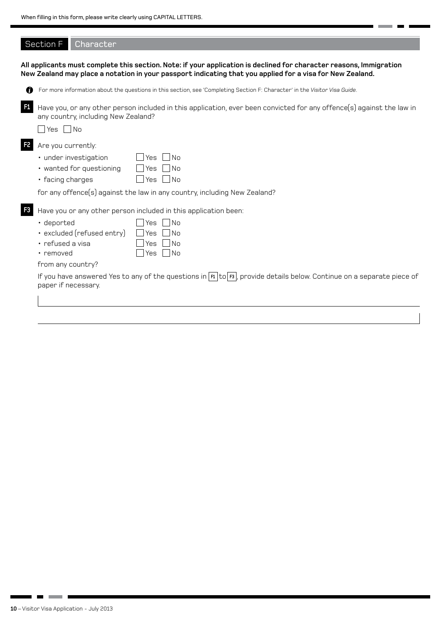|                | Section F<br>Character                                                                               |                                                                                                                                                                                                                                  |
|----------------|------------------------------------------------------------------------------------------------------|----------------------------------------------------------------------------------------------------------------------------------------------------------------------------------------------------------------------------------|
|                |                                                                                                      | All applicants must complete this section. Note: if your application is declined for character reasons, Immigration<br>New Zealand may place a notation in your passport indicating that you applied for a visa for New Zealand. |
| O              |                                                                                                      | For more information about the questions in this section, see 'Completing Section F: Character' in the Visitor Visa Guide.                                                                                                       |
| <b>F1</b>      | any country, including New Zealand?<br>$Yes \tNo$                                                    | Have you, or any other person included in this application, ever been convicted for any offence(s) against the law in                                                                                                            |
| F <sub>2</sub> | Are you currently:<br>· under investigation<br>• wanted for questioning<br>• facing charges          | No<br>Yes<br>  No<br>l lYes<br>  Yes<br>  No<br>for any offence(s) against the law in any country, including New Zealand?                                                                                                        |
| F <sub>3</sub> | · deported<br>• excluded (refused entry)<br>• refused a visa<br>$\cdot$ removed<br>from any country? | Have you or any other person included in this application been:<br>Yes $\Box$ No<br>Yes     No<br>No<br>Yes<br>Yes $\Box$ No                                                                                                     |
|                | paper if necessary.                                                                                  | If you have answered Yes to any of the questions in $F1$ to $F3$ , provide details below. Continue on a separate piece of                                                                                                        |

. . . .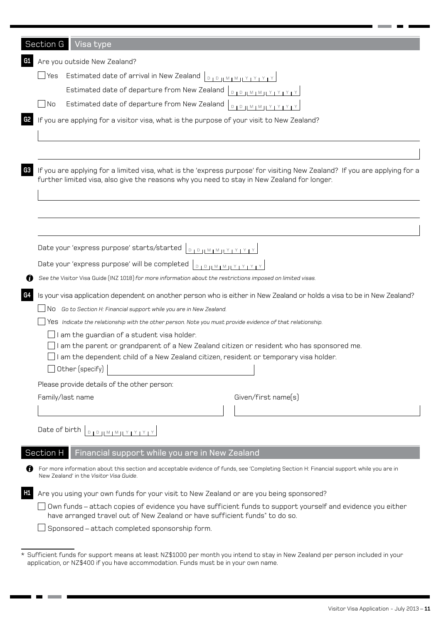| Section G              | Visa type                                                                                                                                                                                                                |  |  |  |
|------------------------|--------------------------------------------------------------------------------------------------------------------------------------------------------------------------------------------------------------------------|--|--|--|
| G1                     | Are you outside New Zealand?                                                                                                                                                                                             |  |  |  |
| $\mathbin{\sqcup}$ Yes |                                                                                                                                                                                                                          |  |  |  |
|                        | Estimated date of departure from New Zealand  <br>$\begin{array}{c} D + D + M + M + Y + Y + Y + Y \end{array}$                                                                                                           |  |  |  |
| $\Box$ No              | Estimated date of departure from New Zealand<br>$D + D + M + M + Y + Y + Y$                                                                                                                                              |  |  |  |
| G2                     | If you are applying for a visitor visa, what is the purpose of your visit to New Zealand?                                                                                                                                |  |  |  |
| G3                     | If you are applying for a limited visa, what is the 'express purpose' for visiting New Zealand? If you are applying for a<br>further limited visa, also give the reasons why you need to stay in New Zealand for longer. |  |  |  |
|                        |                                                                                                                                                                                                                          |  |  |  |
|                        | Date your 'express purpose' starts/started<br>$D + D + M + M + Y + Y + Y + Y$                                                                                                                                            |  |  |  |
|                        | Date your 'express purpose' will be completed<br>$D + D + M + M + Y + Y + Y + Y$                                                                                                                                         |  |  |  |
|                        | See the Visitor Visa Guide (INZ 1018) for more information about the restrictions imposed on limited visas.                                                                                                              |  |  |  |
| G4                     |                                                                                                                                                                                                                          |  |  |  |
|                        | Is your visa application dependent on another person who is either in New Zealand or holds a visa to be in New Zealand?<br>No Go to Section H: Financial support while you are in New Zealand.                           |  |  |  |
|                        | Yes Indicate the relationship with the other person. Note you must provide evidence of that relationship.                                                                                                                |  |  |  |
|                        | I am the guardian of a student visa holder.                                                                                                                                                                              |  |  |  |
|                        | I am the parent or grandparent of a New Zealand citizen or resident who has sponsored me.                                                                                                                                |  |  |  |
|                        | I am the dependent child of a New Zealand citizen, resident or temporary visa holder.                                                                                                                                    |  |  |  |
|                        | Other (specify)                                                                                                                                                                                                          |  |  |  |
|                        | Please provide details of the other person:                                                                                                                                                                              |  |  |  |
|                        | Family/last name<br>Given/first name(s)                                                                                                                                                                                  |  |  |  |
|                        | Date of birth<br>$D + D + 1 M + M + Y + Y + Y + Y$                                                                                                                                                                       |  |  |  |
| Section H              | Financial support while you are in New Zealand                                                                                                                                                                           |  |  |  |
| n                      | For more information about this section and acceptable evidence of funds, see 'Completing Section H: Financial support while you are in<br>New Zealand' in the Visitor Visa Guide.                                       |  |  |  |
| H <sub>1</sub>         | Are you using your own funds for your visit to New Zealand or are you being sponsored?                                                                                                                                   |  |  |  |
|                        | Own funds – attach copies of evidence you have sufficient funds to support yourself and evidence you either<br>have arranged travel out of New Zealand or have sufficient funds <sup>*</sup> to do so.                   |  |  |  |
|                        | Sponsored - attach completed sponsorship form.                                                                                                                                                                           |  |  |  |
|                        | * Sufficient funds for support means at least NZ\$1000 per month you intend to stay in New Zealand per person included in your                                                                                           |  |  |  |

| barrion rando ror cappore micano ae isabe riceveso per monen joa micondi eo sea jimir |  |
|---------------------------------------------------------------------------------------|--|
| application, or NZ\$400 if you have accommodation. Funds must be in your own name.    |  |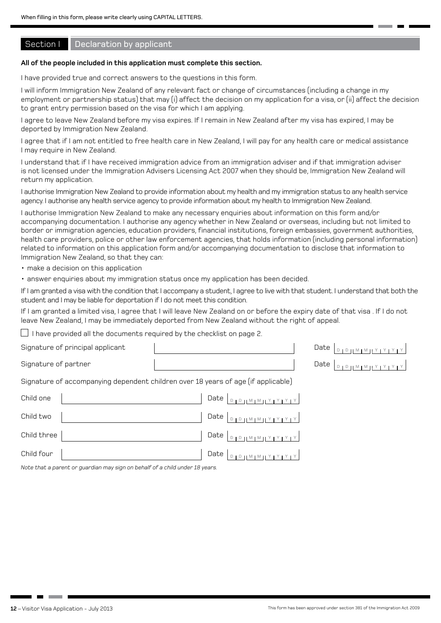#### Section I Declaration by applicant

#### **All of the people included in this application must complete this section.**

I have provided true and correct answers to the questions in this form.

I will inform Immigration New Zealand of any relevant fact or change of circumstances (including a change in my employment or partnership status) that may (i) affect the decision on my application for a visa, or (ii) affect the decision to grant entry permission based on the visa for which I am applying.

I agree to leave New Zealand before my visa expires. If I remain in New Zealand after my visa has expired, I may be deported by Immigration New Zealand.

I agree that if I am not entitled to free health care in New Zealand, I will pay for any health care or medical assistance I may require in New Zealand.

I understand that if I have received immigration advice from an immigration adviser and if that immigration adviser is not licensed under the Immigration Advisers Licensing Act 2007 when they should be, Immigration New Zealand will return my application.

I authorise Immigration New Zealand to provide information about my health and my immigration status to any health service agency. I authorise any health service agency to provide information about my health to Immigration New Zealand.

I authorise Immigration New Zealand to make any necessary enquiries about information on this form and/or accompanying documentation. I authorise any agency whether in New Zealand or overseas, including but not limited to border or immigration agencies, education providers, financial institutions, foreign embassies, government authorities, health care providers, police or other law enforcement agencies, that holds information (including personal information) related to information on this application form and/or accompanying documentation to disclose that information to Immigration New Zealand, so that they can:

- make a decision on this application
- • answer enquiries about my immigration status once my application has been decided.

If I am granted a visa with the condition that I accompany a student, I agree to live with that student. I understand that both the student and I may be liable for deportation if I do not meet this condition.

If I am granted a limited visa, I agree that I will leave New Zealand on or before the expiry date of that visa . If I do not leave New Zealand, I may be immediately deported from New Zealand without the right of appeal.

 $\Box$  I have provided all the documents required by the checklist on page 2.

Signature of principal applicant  $\overline{a}$  and  $\overline{a}$  and  $\overline{a}$  are  $\overline{a}$  and  $\overline{a}$  and  $\overline{a}$  are  $\overline{a}$  and  $\overline{a}$  are  $\overline{a}$  and  $\overline{a}$  are  $\overline{a}$  and  $\overline{a}$  are  $\overline{a}$  and  $\overline{a}$  are  $\overline{a}$ 

Signature of partner and the contract of the contract of partner  $\vert$  . Date

 $D + D + M + M + Y + Y + Y +$ **DIDHMINHYIY** 

Signature of accompanying dependent children over 18 years of age (if applicable)

| Child one   | Date $ _{D_1D_1 M_1M_1 Y_1Y_1Y_1Y}$                                                                                  |
|-------------|----------------------------------------------------------------------------------------------------------------------|
| Child two   | Date $ _{D_1D_1M_1M_1Y_1Y_1Y_1Y_1}$                                                                                  |
| Child three | $\Delta$ Date $ _{\text{DIPHMINIFY} \times \text{VYY}}$                                                              |
| Child four  | $\Delta$ Date $ _{\mathcal{D} + \mathcal{D} + \mathcal{U} + \mathcal{M} + \mathcal{V} + \mathcal{V} + \mathcal{V}} $ |

*Note that a parent or guardian may sign on behalf of a child under 18 years.*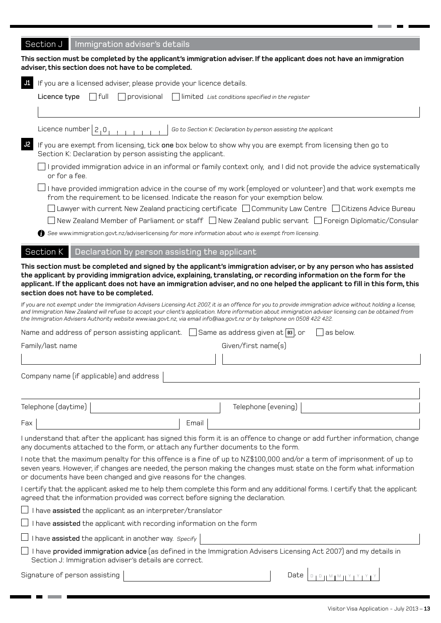## Section J Immigration adviser's details

|                                                                                                                                                                              | This section must be completed by the applicant's immigration adviser. If the applicant does not have an immigration<br>adviser, this section does not have to be completed.                                                                                                                                                                                                                                                                                                                                                                                                                                                                                                                                                                      |  |  |  |  |  |  |  |
|------------------------------------------------------------------------------------------------------------------------------------------------------------------------------|---------------------------------------------------------------------------------------------------------------------------------------------------------------------------------------------------------------------------------------------------------------------------------------------------------------------------------------------------------------------------------------------------------------------------------------------------------------------------------------------------------------------------------------------------------------------------------------------------------------------------------------------------------------------------------------------------------------------------------------------------|--|--|--|--|--|--|--|
| J1                                                                                                                                                                           | If you are a licensed adviser, please provide your licence details.                                                                                                                                                                                                                                                                                                                                                                                                                                                                                                                                                                                                                                                                               |  |  |  |  |  |  |  |
|                                                                                                                                                                              | full<br>$\sqcap$ provisional<br>Licence type<br>$\vert$ $\vert$ limited List conditions specified in the register                                                                                                                                                                                                                                                                                                                                                                                                                                                                                                                                                                                                                                 |  |  |  |  |  |  |  |
|                                                                                                                                                                              |                                                                                                                                                                                                                                                                                                                                                                                                                                                                                                                                                                                                                                                                                                                                                   |  |  |  |  |  |  |  |
|                                                                                                                                                                              | Licence number $2,0,$<br>Go to Section K: Declaration by person assisting the applicant                                                                                                                                                                                                                                                                                                                                                                                                                                                                                                                                                                                                                                                           |  |  |  |  |  |  |  |
| J2<br>If you are exempt from licensing, tick one box below to show why you are exempt from licensing then go to<br>Section K: Declaration by person assisting the applicant. |                                                                                                                                                                                                                                                                                                                                                                                                                                                                                                                                                                                                                                                                                                                                                   |  |  |  |  |  |  |  |
|                                                                                                                                                                              | I provided immigration advice in an informal or family context only, and I did not provide the advice systematically<br>or for a fee.                                                                                                                                                                                                                                                                                                                                                                                                                                                                                                                                                                                                             |  |  |  |  |  |  |  |
|                                                                                                                                                                              | I have provided immigration advice in the course of my work (employed or volunteer) and that work exempts me<br>from the requirement to be licensed. Indicate the reason for your exemption below.                                                                                                                                                                                                                                                                                                                                                                                                                                                                                                                                                |  |  |  |  |  |  |  |
|                                                                                                                                                                              | $\Box$ Lawyer with current New Zealand practicing certificate $\;\;\Box$ Community Law Centre $\;\;\Box$ Citizens Advice Bureau                                                                                                                                                                                                                                                                                                                                                                                                                                                                                                                                                                                                                   |  |  |  |  |  |  |  |
|                                                                                                                                                                              | New Zealand Member of Parliament or staff □ New Zealand public servant □ Foreign Diplomatic/Consular<br>See www.immigration.govt.nz/adviserlicensing for more information about who is exempt from licensing.                                                                                                                                                                                                                                                                                                                                                                                                                                                                                                                                     |  |  |  |  |  |  |  |
|                                                                                                                                                                              | Section K<br>Declaration by person assisting the applicant                                                                                                                                                                                                                                                                                                                                                                                                                                                                                                                                                                                                                                                                                        |  |  |  |  |  |  |  |
|                                                                                                                                                                              | This section must be completed and signed by the applicant's immigration adviser, or by any person who has assisted                                                                                                                                                                                                                                                                                                                                                                                                                                                                                                                                                                                                                               |  |  |  |  |  |  |  |
|                                                                                                                                                                              | the applicant by providing immigration advice, explaining, translating, or recording information on the form for the<br>applicant. If the applicant does not have an immigration adviser, and no one helped the applicant to fill in this form, this<br>section does not have to be completed.<br>If you are not exempt under the Immigration Advisers Licensing Act 2007, it is an offence for you to provide immigration advice without holding a license,<br>and Immigration New Zealand will refuse to accept your client's application. More information about immigration adviser licensing can be obtained from<br>the Immigration Advisers Authority website www.iaa.govt.nz, via email info@iaa.govt.nz or by telephone on 0508 422 422. |  |  |  |  |  |  |  |
|                                                                                                                                                                              | Name and address of person assisting applicant. $\Box$ Same as address given at $ \mathbf{B} $ , or<br>as below.                                                                                                                                                                                                                                                                                                                                                                                                                                                                                                                                                                                                                                  |  |  |  |  |  |  |  |
|                                                                                                                                                                              | Given/first name(s)<br>Family/last name                                                                                                                                                                                                                                                                                                                                                                                                                                                                                                                                                                                                                                                                                                           |  |  |  |  |  |  |  |
|                                                                                                                                                                              |                                                                                                                                                                                                                                                                                                                                                                                                                                                                                                                                                                                                                                                                                                                                                   |  |  |  |  |  |  |  |
|                                                                                                                                                                              | Company name (if applicable) and address                                                                                                                                                                                                                                                                                                                                                                                                                                                                                                                                                                                                                                                                                                          |  |  |  |  |  |  |  |
|                                                                                                                                                                              |                                                                                                                                                                                                                                                                                                                                                                                                                                                                                                                                                                                                                                                                                                                                                   |  |  |  |  |  |  |  |
|                                                                                                                                                                              | Telephone (daytime)<br>Telephone (evening)                                                                                                                                                                                                                                                                                                                                                                                                                                                                                                                                                                                                                                                                                                        |  |  |  |  |  |  |  |
| Fax                                                                                                                                                                          | Email                                                                                                                                                                                                                                                                                                                                                                                                                                                                                                                                                                                                                                                                                                                                             |  |  |  |  |  |  |  |
|                                                                                                                                                                              | I understand that after the applicant has signed this form it is an offence to change or add further information, change<br>any documents attached to the form, or attach any further documents to the form.                                                                                                                                                                                                                                                                                                                                                                                                                                                                                                                                      |  |  |  |  |  |  |  |
|                                                                                                                                                                              | I note that the maximum penalty for this offence is a fine of up to NZ\$100,000 and/or a term of imprisonment of up to<br>seven years. However, if changes are needed, the person making the changes must state on the form what information<br>or documents have been changed and give reasons for the changes.                                                                                                                                                                                                                                                                                                                                                                                                                                  |  |  |  |  |  |  |  |
|                                                                                                                                                                              | I certify that the applicant asked me to help them complete this form and any additional forms. I certify that the applicant<br>agreed that the information provided was correct before signing the declaration.                                                                                                                                                                                                                                                                                                                                                                                                                                                                                                                                  |  |  |  |  |  |  |  |
|                                                                                                                                                                              | I have assisted the applicant as an interpreter/translator                                                                                                                                                                                                                                                                                                                                                                                                                                                                                                                                                                                                                                                                                        |  |  |  |  |  |  |  |
|                                                                                                                                                                              | I have assisted the applicant with recording information on the form                                                                                                                                                                                                                                                                                                                                                                                                                                                                                                                                                                                                                                                                              |  |  |  |  |  |  |  |
|                                                                                                                                                                              | $\perp$ I have <b>assisted</b> the applicant in another way. <i>Specify</i>                                                                                                                                                                                                                                                                                                                                                                                                                                                                                                                                                                                                                                                                       |  |  |  |  |  |  |  |
|                                                                                                                                                                              | I have provided immigration advice (as defined in the Immigration Advisers Licensing Act 2007) and my details in<br>Section J: Immigration adviser's details are correct.                                                                                                                                                                                                                                                                                                                                                                                                                                                                                                                                                                         |  |  |  |  |  |  |  |
|                                                                                                                                                                              | Signature of person assisting<br>Date<br>$D + D + M + M + M + Y + Y$                                                                                                                                                                                                                                                                                                                                                                                                                                                                                                                                                                                                                                                                              |  |  |  |  |  |  |  |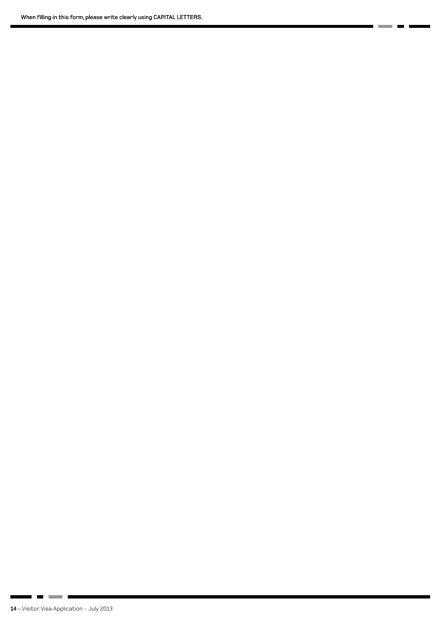× ä ۰

. . . .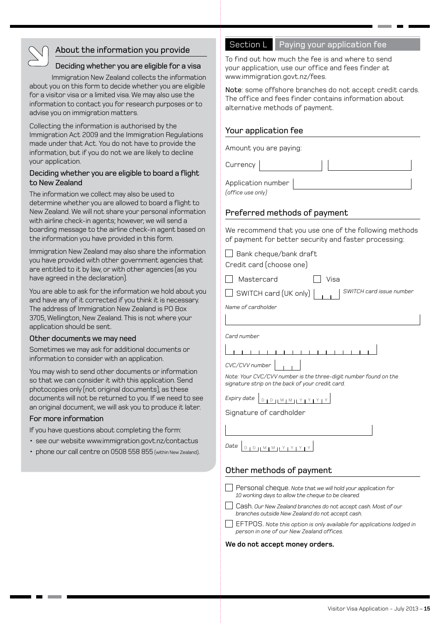

## About the information you provide

#### Deciding whether you are eligible for a visa

Immigration New Zealand collects the information about you on this form to decide whether you are eligible for a visitor visa or a limited visa. We may also use the information to contact you for research purposes or to advise you on immigration matters.

Collecting the information is authorised by the Immigration Act 2009 and the Immigration Regulations made under that Act. You do not have to provide the information, but if you do not we are likely to decline your application.

#### Deciding whether you are eligible to board a flight to New Zealand

The information we collect may also be used to determine whether you are allowed to board a flight to New Zealand. We will not share your personal information with airline check-in agents; however, we will send a boarding message to the airline check-in agent based on the information you have provided in this form.

Immigration New Zealand may also share the information you have provided with other government agencies that are entitled to it by law, or with other agencies (as you have agreed in the declaration).

You are able to ask for the information we hold about you and have any of it corrected if you think it is necessary. The address of Immigration New Zealand is PO Box 3705, Wellington, New Zealand. This is not where your application should be sent.

#### Other documents we may need

Sometimes we may ask for additional documents or information to consider with an application.

You may wish to send other documents or information so that we can consider it with this application. Send photocopies only (not original documents), as these documents will not be returned to you. If we need to see an original document, we will ask you to produce it later.

#### For more information

If you have questions about completing the form:

- see our website www.immigration.govt.nz/contactus
- phone our call centre on 0508 558 855 (within New Zealand).

## Section L Paying your application fee

To find out how much the fee is and where to send your application, use our office and fees finder at www.immigration.govt.nz/fees.

Note: some offshore branches do not accept credit cards. The office and fees finder contains information about alternative methods of payment.

### Your application fee

Amount you are paying:

**Currency** 

Application number *(office use only)*

#### Preferred methods of payment

We recommend that you use one of the following methods of payment for better security and faster processing:

Bank cheque/bank draft

Credit card (choose one)

Mastercard Visa

SWITCH card (UK only) *SWITCH card issue number*

*Name of cardholder*

*Card number*

*CVC/CVV number*

*Note: Your CVC/CVV number is the three-digit number found on the signature strip on the back of your credit card.*

| $\mathsf{g}$ = xpiry date $\Box$ |  |  |  |  |  |  |  |
|----------------------------------|--|--|--|--|--|--|--|
|----------------------------------|--|--|--|--|--|--|--|

Signature of cardholder

*Date*

## Other methods of payment

Personal cheque. *Note that we will hold your application for 10 working days to allow the cheque to be cleared.*

Cash. *Our New Zealand branches do not accept cash. Most of our branches outside New Zealand do not accept cash.*

EFTPOS. *Note this option is only available for applications lodged in person in one of our New Zealand offices.*

**We do not accept money orders.**